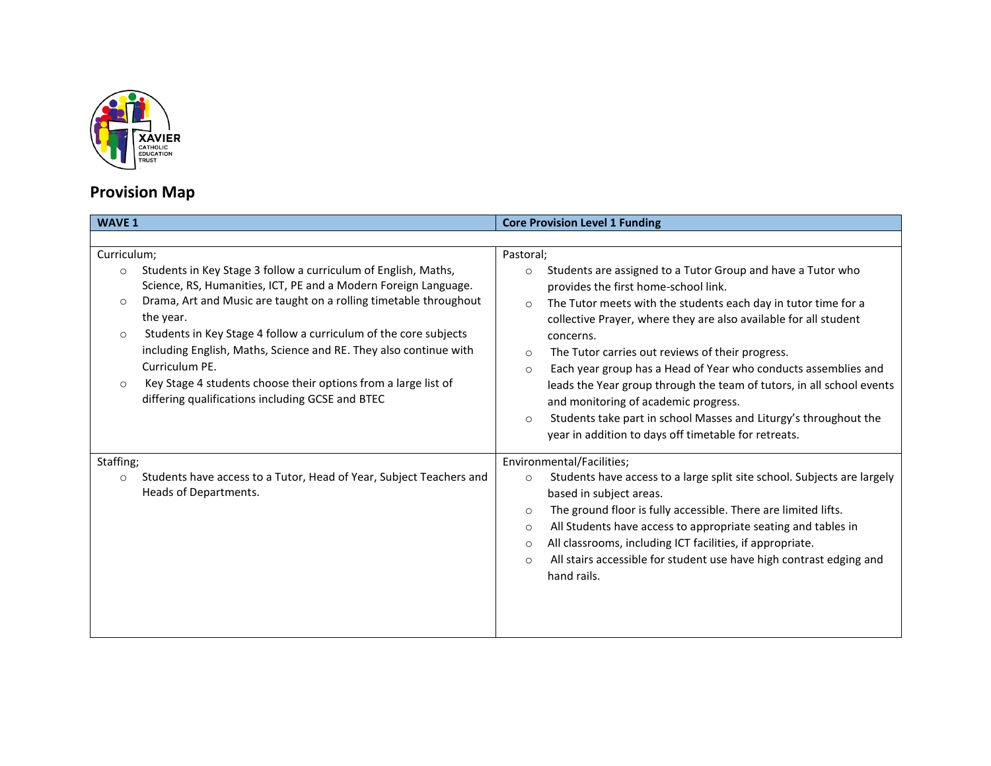

## **Provision Map**

| <b>WAVE 1</b>                                                                                                                                                                                                                                                                                                                                                                                                                                                                                                                                                   | <b>Core Provision Level 1 Funding</b>                                                                                                                                                                                                                                                                                                                                                                                                                                                                                                                                                                                                                                                         |
|-----------------------------------------------------------------------------------------------------------------------------------------------------------------------------------------------------------------------------------------------------------------------------------------------------------------------------------------------------------------------------------------------------------------------------------------------------------------------------------------------------------------------------------------------------------------|-----------------------------------------------------------------------------------------------------------------------------------------------------------------------------------------------------------------------------------------------------------------------------------------------------------------------------------------------------------------------------------------------------------------------------------------------------------------------------------------------------------------------------------------------------------------------------------------------------------------------------------------------------------------------------------------------|
|                                                                                                                                                                                                                                                                                                                                                                                                                                                                                                                                                                 |                                                                                                                                                                                                                                                                                                                                                                                                                                                                                                                                                                                                                                                                                               |
| Curriculum;<br>Students in Key Stage 3 follow a curriculum of English, Maths,<br>$\circ$<br>Science, RS, Humanities, ICT, PE and a Modern Foreign Language.<br>Drama, Art and Music are taught on a rolling timetable throughout<br>$\circ$<br>the year.<br>Students in Key Stage 4 follow a curriculum of the core subjects<br>$\circ$<br>including English, Maths, Science and RE. They also continue with<br>Curriculum PE.<br>Key Stage 4 students choose their options from a large list of<br>$\circ$<br>differing qualifications including GCSE and BTEC | Pastoral;<br>Students are assigned to a Tutor Group and have a Tutor who<br>$\circ$<br>provides the first home-school link.<br>The Tutor meets with the students each day in tutor time for a<br>$\circ$<br>collective Prayer, where they are also available for all student<br>concerns.<br>The Tutor carries out reviews of their progress.<br>$\circ$<br>Each year group has a Head of Year who conducts assemblies and<br>$\circ$<br>leads the Year group through the team of tutors, in all school events<br>and monitoring of academic progress.<br>Students take part in school Masses and Liturgy's throughout the<br>$\circ$<br>year in addition to days off timetable for retreats. |
| Staffing;                                                                                                                                                                                                                                                                                                                                                                                                                                                                                                                                                       | Environmental/Facilities;                                                                                                                                                                                                                                                                                                                                                                                                                                                                                                                                                                                                                                                                     |
| Students have access to a Tutor, Head of Year, Subject Teachers and<br>$\circ$<br>Heads of Departments.                                                                                                                                                                                                                                                                                                                                                                                                                                                         | Students have access to a large split site school. Subjects are largely<br>$\circ$<br>based in subject areas.<br>The ground floor is fully accessible. There are limited lifts.<br>$\circ$<br>All Students have access to appropriate seating and tables in<br>$\circ$<br>All classrooms, including ICT facilities, if appropriate.<br>$\circ$<br>All stairs accessible for student use have high contrast edging and<br>$\circ$<br>hand rails.                                                                                                                                                                                                                                               |